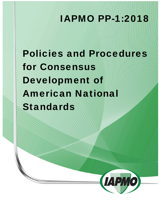# IAPMO PP-1:2018

Policies and Procedures for Consensus Development of American National Standards

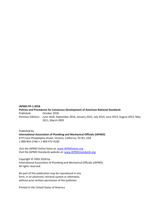#### **IAPMO PP‐1:2018**

**Policies and Procedures for Consensus Development of American National Standards**  Published: October 2018 Previous Editions: June 2018, September 2016, January 2015, July 2014, June 2013, August 2012, May 2011, March 2005

Published by **International Association of Plumbing and Mechanical Officials (IAPMO)**  4775 East Philadelphia Street, Ontario, California, 91761, USA 1‐800‐854‐2766 • 1‐909‐472‐4100

Visit the IAPMO Online Store at: www.IAPMOstore.org Visit the IAPMO Standards website at: www.IAPMOstandards.org

Copyright © 2005‐2018 by International Association of Plumbing and Mechanical Officials (IAPMO) All rights reserved.

No part of this publication may be reproduced in any form, in an electronic retrieval system or otherwise, without prior written permission of the publisher.

Printed in the United States of America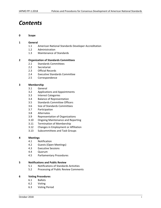# *Contents*

#### **0 Scope**

#### **1 General**

- 1.1 American National Standards Developer Accreditation
- 1.2 Administration
- 1.3 Maintenance of Standards

#### **2 Organization of Standards Committees**

- 2.1 Standards Committees
- 2.2 Secretariat
- 2.3 Official Records
- 2.4 Executive Standards Committee
- 2.5 Correspondence

#### **3 Membership**

- 3.1 General
- 3.2 Applications and Appointments
- 3.3 Interest Categories
- 3.4 Balance of Representation
- 3.5 Standards Committee Officers
- 3.6 Size of Standards Committees
- 3.7 Participation
- 3.8 Alternates
- 3.9 Representation of Organizations
- 3.10 Ongoing Maintenance and Reporting
- 3.11 Termination of Membership
- 3.12 Changes in Employment or Affiliation
- 3.13 Subcommittees and Task Groups

#### **4 Meetings**

- 4.1 Notification
- 4.2 Guests (Open Meetings)
- 4.3 Executive Sessions
- 4.4 Quorum
- 4.5 Parliamentary Procedures

#### **5 Notifications and Public Review**

- 5.1 Notifications of Standards Activities
- 5.2 Processing of Public Review Comments

#### **6 Voting Procedures**

- 6.1 Ballots
- 6.2 Voting
- 6.3 Voting Period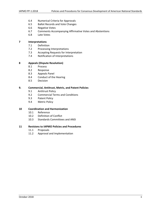- 6.4 Numerical Criteria for Approvals
- 6.5 Ballot Records and Vote Changes
- 6.6 Negative Votes
- 6.7 Comments Accompanying Affirmative Votes and Abstentions
- 6.8 Late Votes

#### **7 Interpretations**

- 7.1 Definition
- 7.2 Processing Interpretations
- 7.3 Accepting Requests for Interpretation
- 7.4 Notification of Interpretations

#### **8 Appeals (Dispute Resolution)**

- 8.1 Process
- 8.2 Response
- 8.3 Appeals Panel
- 8.4 Conduct of the Hearing
- 8.5 Decision

#### **9. Commercial, Antitrust, Metric, and Patent Policies**

- 9.1 Antitrust Policy
- 9.2 Commercial Terms and Conditions
- 9.3 Patent Policy
- 9.4 Metric Policy

#### **10 Coordination and Harmonization**

- 10.1 Reference
- 10.2 Definition of Conflict
- 10.3 Standards Committees and ANSI

#### **11 Revisions to IAPMO Policies and Procedures**

- 11.1 Proposals
- 11.2 Approval and Implementation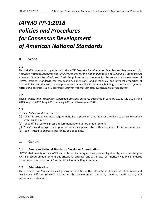# *IAPMO PP‐1:2018 Policies and Procedures for Consensus Development of American National Standards*

# **0. Scope**

# **0.1**

This IAPMO document, together with the *ANSI Essential Requirements: Due Process Requirements for American National Standards* and *ANSI Procedures for the National Adoption of ISO and IEC Standards as American National Standards*, sets forth the policies and procedures for the consensus development of IAPMO national standards, for composition, dimensions, and mechanical and physical properties of materials, fixtures, devices, and equipment used or installed in plumbing, building, or mechanical systems. **Note:** *In this document, IAPMO consensus American National Standards are referred to as "standards".* 

# **0.2**

These *Policies and Procedures* supersede previous editions, published in January 2015, July 2014, June 2013, August 2012, May 2011, January 2011, and November 2005.

#### **0.3**

#### In these *Policies and Procedures*,

- (a) "shall" is used to express a requirement, i.e., a provision that the user is obliged to satisfy to comply with this document;
- (b) "should" is used to express a recommendation but not a requirement;
- (c) "may" is used to express an option or something permissible within the scope of this document; and
- (d) "can" is used to express a possibility or a capability.

# **1. General**

#### **1.1 American National Standards Developer Accreditation**

IAPMO shall maintain their ANSI accreditation by being an incorporated legal entity, and complying to ANSI's procedural requirements and criteria for approval and withdrawal of American National Standards in accordance with Section 4.1 of the ANSI Essential Requirements.

#### **1.2 Administration**

These *Policies and Procedures* shall govern the activities of the International Association of Plumbing and Mechanical Officials (IAPMO) related to the development, approval, revision, reaffirmation, and withdrawal of standards.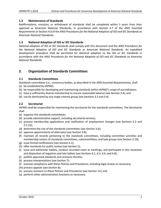# **1.3 Maintenance of Standards**

Reaffirmations, revisions, or withdrawal of standards shall be completed within 5 years from their approval as American National Standards, in accordance with Section 4.7 of the *ANSI Essential Requirements* or Section 4.0 of the *ANSI Procedures for the National Adoption of ISO and IEC Standards as American National Standards*.

# **1.4 National Adoption of ISO or IEC Standards**

National adoption of ISO or IEC standards shall comply with this document and the *ANSI Procedures for the National Adoption of ISO and IEC Standards as American National Standards*. An expedited development procedure shall be permitted for identical adoption to the ISO or IEC standards in accordance with the *ANSI Procedures for the National Adoption of ISO and IEC Standards as American National Standards*.

# **2. Organization of Standards Committees**

# **2.1 Standards Committees**

Standards committees (i.e., consensus bodies, as described in the *ANSI Essential Requirements*), shall (a) be established by IAPMO;

- (b) be responsible for developing and maintaining standards within IAPMO's scope of accreditation;
- (c) have a sufficiently diverse membership to ensure reasonable balance (see Section 3.4); and
- (d) not be dominated by any single interest group (see Sections 3.3 and 3.4).

#### **2.2 Secretariat**

IAPMO shall be responsible for maintaining the secretariat for the standards committees. The Secretariat shall

- (a) organize the standards committees;
- (b) provide administrative support, including secretarial services;
- (c) process membership applications and notification of employment changes (see Sections 3.2 and 2.5.12);
- (d) determine the size of the standards committees (see Section 3.6);
- (e) approve appointments of alternates (see Section 3.8);
- (f) maintain all records pertaining to the standards committees, including committee activities and membership rosters of standards committees, subcommittees, and task groups (see Section 3.10);
- (g) issue formal notifications (see Section 4.1);
- (h) offer standards for public review (see Section 5);
- (i) issue and administer ballots, conduct recorded votes at meetings, and participate in the resolution and disposition of negatives and late ballots (see Sections 6.1, 6.3, 6.6, and 6.8);
- (j) publish approved standards and revisions thereto;
- (k) process interpretations (see Section 7);
- (l) oversee compliance with these *Policies and Procedures*, including legal review as necessary;
- (m) process appeals (see Section 8);
- (n) process revisions to these *Policies* and *Procedures* (see Section 11); and
- (o) perform other administrative functions as necessary.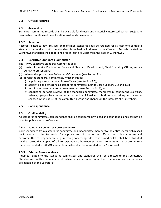# **2.3 Official Records**

# **2.3.1 Availability**

Standards committee records shall be available for directly and materially interested parties, subject to reasonable conditions of time, location, cost, and convenience.

# **2.3.2 Retention**

Records related to new, revised, or reaffirmed standards shall be retained for at least one complete standards cycle (i.e., until the standard is revised, withdrawn, or reaffirmed). Records related to withdrawn standards shall be retained for at least five years from the date of withdrawal.

# **2.4 Executive Standards Committee**

The IAPMO Executive Standards Committee shall

- (a) consist of the Vice President of Codes and Standards Development, Chief Operating Officer, and an IAPMO Representative;
- (b) revise and approve these *Policies and Procedures* (see Section 11);
- (c) govern the standards committees, which includes:
	- (i) appointing standards committee officers (see Section 3.5);
	- (ii) appointing and categorizing standards committee members (see Sections 3.2 and 3.3);
	- (iii) terminating standards committee members (see Section 3.11); and
	- (iv) conducting periodic reviews of the standards committee membership, considering expertise, balance, geographical representation, and individual contributions, and taking into account changes in the nature of the committee's scope and changes in the interests of its members.

#### **2.5 Correspondence**

#### **2.5.1 Confidentiality**

All standards committee correspondence shall be considered privileged and confidential and shall not be used for publication or reference.

#### **2.5.2 Standards Committee Correspondence**

Correspondence from a standards committee or subcommittee member to the entire membership shall be forwarded to the Secretariat for approval and distribution. All official standards committee and subcommittee correspondence (e.g., meeting notices, agendas, reports and ballots) shall be distributed by the Secretariat. Copies of all correspondence between standards committee and subcommittee members, related to IAPMO standards activities shall be forwarded to the Secretariat.

#### **2.5.3 External Correspondence**

Inquiries related to the standards committees and standards shall be directed to the Secretariat. Standards committee members should advise individuals who contact them that responses to all inquiries are handled by the Secretariat.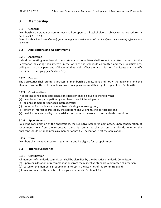# **3. Membership**

# **3.1 General**

Membership on standards committees shall be open to all stakeholders, subject to the procedures in Sections 3.2 to 3.13.

**Note:** *A stakeholder is an individual, group, or organization that is or will be directly and demonstrably affected by a standard.* 

# **3.2 Applications and Appointments**

# **3.2.1 Application**

Individuals seeking membership on a standards committee shall submit a written request to the Secretariat indicating their interest in the work of the standards committee and their qualifications, willingness to participate, and affiliation(s) that might affect their classification. Applicants shall identify their interest category (see Section 3.3).

# **3.2.2 Process**

The Secretariat shall promptly process all membership applications and notify the applicants and the standards committees of the actions taken on applications and their right to appeal (see Section 8).

# **3.2.3 Considerations**

In accepting or rejecting applicants, consideration shall be given to the following:

- (a) need for active participation by members of each interest group;
- (b) balance of members for each interest group;
- (c) potential for dominance by members of a single interest group;
- (d) extent of interest expressed by the applicant and willingness to participate; and
- (e) qualifications and ability to materially contribute to the work of the standards committee.

#### **3.2.4 Appointments**

Following consideration of the applications, the Executive Standards Committee, upon consideration of recommendations from the respective standards committee chairperson, shall decide whether the applicant should be appointed as a member or not (i.e., accept or reject the application).

#### **3.2.5 Term**

Members shall be appointed for 2‐year terms and be eligible for reappointment.

# **3.3 Interest Categories**

#### **3.3.1 Classification**

All members of standards committees shall be classified by the Executive Standards Committee,

- (a) upon consideration of recommendations from the respective standards committee chairperson;
- (b) based on the member's predominant interest in the activities of the committee; and
- (c) in accordance with the interest categories defined in Section 3.3.2.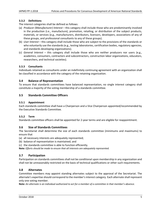# **3.3.2 Definitions**

The interest categories shall be defined as follows:

- (a) *Producer (Manufacturer) Interest* this category shall include those who are predominantly involved in the production (i.e., manufacture), promotion, retailing, or distribution of the subject products, materials, or services (e.g., manufacturers, distributors, licensors, developers, associations of any of these groups, and professional consultants to any of these groups).
- (b) *User Interest* this category shall include those who are subject to the provisions of the standards or who voluntarily use the standards (e.g., testing laboratories, certification bodies, regulatory agencies, and standards developing organizations).
- (c) *General Interest* – this category shall include those who are neither producers nor users (e.g., academics, consumers, contractors and subcontractors, construction labor organizations, educators, researchers, and technical societies).

# **3.3.3 Consultants**

Individuals retained as consultants under an indefinitely continuing agreement with an organization shall be classified in accordance with the category of the retaining organization.

# **3.4 Balance of Representation**

To ensure that standards committees have balanced representation, no single interest category shall constitute a majority of the voting membership of a standards committee.

# **3.5 Standards Committee Officers**

#### **3.5.1 Appointment**

Each standards committee shall have a Chairperson and a Vice Chairperson appointed/recommended by the Executive Standards Committee.

#### **3.5.2 Term**

Standards committee officers shall be appointed for 2‐year terms and are eligible for reappointment.

#### **3.6 Size of Standards Committees**

The Secretariat shall determine the size of each standards committee (minimums and maximums) to ensure that

(a) all necessary interests are adequately represented;

- (b) balance of representation is maintained; and
- (c) the standards committee is able to function efficiently.

**Note:** *Efforts should be made to ensure that all interests are adequately represented.* 

# **3.7 Participation**

Participation on standards committees shall not be conditional upon membership in any organization and shall not be unreasonably restricted on the basis of technical qualifications or other such requirements.

#### **3.8 Alternates**

Committee members may appoint standing alternates subject to the approval of the Secretariat. The alternate's expertise should correspond to the member's interest category. Each alternate shall represent only one voting member.

**Note:** *An alternate is an individual authorized to act for a member of a committee in that member's absence.*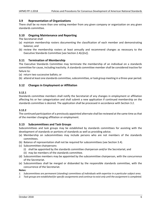# **3.9 Representation of Organizations**

There shall be no more than one voting member from any given company or organization on any given standards committee.

# **3.10 Ongoing Maintenance and Reporting**

The Secretariat shall

- (a) maintain membership rosters documenting the classification of each member and demonstrating balance; and
- (b) review the membership rosters at least annually and recommend changes as necessary to the Executive Standards Committee [see Section 2.4(c)(iv)].

# **3.11 Termination of Membership**

The Executive Standards Committee may terminate the membership of an individual on a standards committee for cause, including inactivity. A standards committee member shall be considered inactive for failure to:

(a) return two successive ballots; or

(b) attend at least one standards committee, subcommittee, or task group meeting in a three‐year period.

# **3.12 Changes in Employment or Affiliation**

#### **3.12.1**

Standards committee members shall notify the Secretariat of any changes in employment or affiliation affecting his or her categorization and shall submit a new application if continued membership on the standards committee is desired. The application shall be processed in accordance with Section 3.2.

# **3.12.2**

The continued participation of a previously appointed alternate shall be reviewed at the same time as that of the member changing affiliation or employment.

#### **3.13 Subcommittees and Task Groups**

Subcommittees and task groups may be established by standards committees for assisting with the development of standards or portions of standards as well as providing advice.

- (a) Membership on subcommittees may include persons who are not members of the standards committees.
- (b) Balance of representation shall not be required for subcommittees (see Section 3.4).
- (c) Subcommittee chairpersons
	- (i) shall be appointed by the standards committee chairperson and/or the Secretariat; and
	- (ii) may be members of the standards committee.
- (d) Subcommittee members may be appointed by the subcommittee chairperson, with the concurrence of the Secretariat.
- (e) Subcommittees shall be merged or disbanded by the responsible standards committee, with the concurrence of the Secretariat.

#### **Notes:**

- *1. Subcommittees are permanent (standing) committees of individuals with expertise in a particular subject area.*
- *2. Task groups are established for specific assignments and continue to exist only until the assignment is completed.*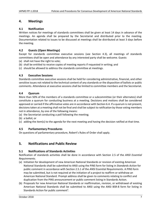# **4. Meetings**

# **4.1 Notification**

Written notices for meetings of standards committees shall be given at least 14 days in advance of the meetings. An agenda shall be prepared by the Secretariat and distributed prior to the meeting. Documentation related to issues to be discussed at meetings shall be distributed at least 3 days before the meeting.

# **4.2 Guests (Open Meetings)**

Except for standards committee executive sessions (see Section 4.3), all meetings of standards committees shall be open and attendance by any interested party shall be welcome. Guests

- (a) shall not have the right to vote;
- (b) shall be entitled to receive copies of meeting reports if requested in writing; and
- (c) should be allowed to address the standards committee at meetings.

# **4.3 Executive Sessions**

Standards committee executive sessions shall be held for considering administrative, financial, and other sensitive issues not related to the technical content of any standards or the disposition of ballots or public comments. Attendance at executive sessions shall be limited to committee members and the Secretariat.

# **4.4 Quorum**

More than 50% of the members of a standards committee or a subcommittee (or their alternates) shall constitute a quorum for conducting business at a meeting. Decisions and motions shall be considered approved or carried if the affirmative votes are in accordance with Section 6.4. If a quorum is not present, decisions taken at a meeting shall not be final and shall be subject to ratification by those voting members not in attendance, by one of the following means:

(a) the Secretariat conducting a poll following the meeting;

(b) a ballot; or

(c) adding the item(s) to the agenda for the next meeting and having the decision ratified at that time.

#### **4.5 Parliamentary Procedures**

On questions of parliamentary procedure, Robert's Rules of Order shall apply.

# **5. Notifications and Public Review**

#### **5.1 Notifications of Standards Activities**

Notification of standards activities shall be done in accordance with Section 2.5 of the *ANSI Essential Requirements*.

- (a) Initiation for development of new American National Standards or revision of existing American National Standards shall be submitted to ANSI using the PINS form for listing in *Standards Action* for public comment in accordance with Section 2.5.1 of the *ANSI Essential Requirements*. A PINS form may be submitted, but is not required at the initiation of a project to reaffirm or withdraw an American National Standard. Prompt address shall be given to comments relating to conflict and duplication from the PINS announcement or public comment listing in Standards Action.
- (b) Proposals for new American National Standards or reaffirmation, revision, or withdrawal of existing American National Standards shall be submitted to ANSI using the ANSI BSR‐8 form for listing in Standards Action for public comment<sup>1</sup>.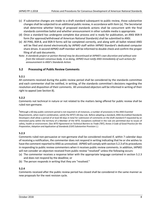- (c) If substantive changes are made to a draft standard subsequent to public review, those substantive changes shall be subjected to an additional public review, in accordance with Item (a). The Secretariat shall determine whether listing of proposed standards actions shall be concurrent with the final standards committee ballot and whether announcement in other suitable media is appropriate.
- (d) Once a standard has undergone complete due process and is ready for publication, an ANSI BSR‐9 form (for approval/withdrawal of American National Standards) shall be submitted to ANSI.
- (e) All PINS, BSR‐8, and BSR‐9 forms will be completed correctly, and along with all ballot related ANSI will be filed and stored electronically by IAPMO staff within IAPMO Standard's dedicated computer share drives. A second IAPMO staff member will be informed to double check and confirm the proper filing of all said documents.
- Note: *A standards project or portion thereof may be discontinued at IAPMO's own discretion and without vote from the relevant consensus body. In so doing, IAPMO must notify ANSI immediately of such actions for announcement in ANSI's Standards Action.*

# **5.2 Processing of Public Review Comments**

#### **5.2.1**

All comments received during the public review period shall be considered by the standards committee and each commenter shall be notified, in writing, of the standards committee's decisions regarding the resolution and disposition of their comments. All unresolved objectors will be informed in writing of their right to appeal (see Section 8).

#### **5.2.2**

Comments not technical in nature or not related to the matters being offered for public review shall be ruled non‐germane.

**1** Although a 60‐day public comment period is not required in all instances, a number of provisions in the *ANSI Essential Requirements*, when read in combination, satisfy the WTO's 60‐day rule. Before adopting a standard, ANSI‐Accredited Standards Developers shall allow a period of at least 60 days in total for submission of comments on the draft standard if requested by an interested party within the territory of a Member of the WTO. Exceptions outlined in the rule are permitted due to issues of safety, health or environment. (See *WTO Agreement on Technical Barriers to Trade (TBT), Annex 3 Code of Good Practice for the Preparation, Adoption and Application of Standards (CGP) Substantive Provision L*.)

#### **5.2.3**

Comments ruled non‐persuasive or non‐germane shall be considered resolved if, within 7 calendar days of receiving a notification, the commenter does not respond in writing indicating that he or she wishes to have the comment reported to ANSI as unresolved. IAPMO will comply with section 5.2.3 of its procedures in responding to public review commenters when it receives public review comments. In addition, IAPMO will not consider an objection received from public review "resolved" unless the following occurs:

- (a) The commenter receives a response letter with the appropriate language contained in section 5.2.3 and does not respond by the deadline; or
- (b) The person responds in writing that they are "resolved."

#### **5.2.4**

Comments received after the public review period has closed shall be considered in the same manner as new proposals for the next revision cycle.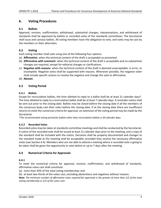# **6. Voting Procedures**

# **6.1 Ballots**

Approval, revision, reaffirmation, withdrawal, substantial changes, interpretations, and withdrawal of standards shall be approved by ballots or recorded votes of the standards committees. The Secretariat shall issue and canvass ballots. All voting members have the obligation to vote, and votes may be cast by the members or their alternates.

# **6.2 Voting**

Each voting member shall vote using one of the following four options:

- (a) **Affirmative**: when the technical content of the draft is acceptable as presented.
- (b) **Affirmative with comment**: when the technical content of the draft is acceptable and no substantive changes are required, except for editorial changes or clarifications.
- (c) **Negative with reasons**: when the technical content of the draft is deemed unacceptable, in error, or incomplete. Negative votes shall be supported with reasons. Whenever possible, the negative voter shall include specific actions to resolve the negative and change the vote to affirmative.
- (d) **Abstain**.

# **6.3 Voting Period**

# **6.3.1 Ballots**

Except for recirculation ballots, the time allotted to reply to a ballot shall be at least 21 calendar days\*. The time allotted to reply to a recirculation ballot shall be at least 7 calendar days. A reminder notice shall be sent out prior to the closing date. Ballots may be closed before the closing date if all the members of the consensus body cast their votes before the closing date. If at the closing date there are insufficient returns to meet the numerical criteria for approval, an extension of the voting period may be made by the Secretariat.

*\*The recommended voting period for ballots other than recirculation ballots is 30 calendar days.* 

#### **6.3.2 Recorded Votes**

Recorded votes may be taken at standards committee meetings and shall be conducted by the Secretariat. A notice of the recorded vote shall be issued at least 21 calendar days prior to the meeting, and a copy of the standard shall be included with the notice. Decisions shall be properly documented and changes to the standard made at the meeting shall be acceptable, provided they receive the necessary affirmative votes (see Section 6.4). Members who are not able to attend a meeting where a recorded vote is going to be taken shall be given the opportunity to vote before or up to 7 days after the meeting.

# **6.4 Numerical Criteria for Approvals**

# **6.4.1**

To meet the numerical criteria for approval, revision, reaffirmation, and withdrawal of standards, affirmative votes cast shall constitute

- (a) more than 50% of the total voting membership; and
- (b) at least two‐thirds of the votes cast, excluding abstentions and negatives without reasons.

**Note:** *The minimum number of affirmative votes required for approvals is the greater of more than 1/2 of the total voting membership or 2/3 of the votes cast.*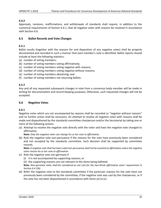# **6.4.2**

Approvals, revisions, reaffirmations, and withdrawals of standards shall require, in addition to the numerical requirements of Section 6.4.1, that all negative votes with reasons be resolved in accordance with Section 6.6.

# **6.5 Ballot Records and Vote Changes**

# **6.5.1**

Ballot results (together with the reasons for and disposition of any negative votes) shall be properly documented and recorded in such a manner that each member's vote is identified. Ballot reports should include at least the following statistics:

- (a) number of voting members;
- (b) number of voting members voting affirmatively;
- (c) number of voting members voting negative with reasons;
- (d) number of voting members voting negative without reasons;
- (e) number of voting members abstaining; and
- (f) number of voting members not returning ballots.

# **6.5.2**

Any and all any requested subsequent changes in vote from a consensus body member will be made in writing for documentation and record keeping purposes; Otherwise, such requested changes will not be accepted.

# **6.6 Negative Votes**

#### **6.6.1**

Negative votes which are not accompanied by reasons shall be recorded as "negative without reasons" and no further action shall be necessary. An attempt to resolve all negative votes with reasons shall be made and dispositioned by the standards committee chairperson and/or the Secretariat by taking one or more of the following actions:

(a) Attempt to resolve the negative vote directly with the voter and have the negative vote changed to affirmative.

**Note:** *Only the negative voter can change his or her vote to affirmative.* 

(b) Rule the negative vote non‐persuasive if the reasons for the vote have previously been considered and not accepted by the standards committee. Such decision shall be supported by committee records.

**Note:** *A negative vote that has been ruled non‐persuasive shall not be counted as affirmative unless the negative voter revises his or her vote to affirmative.* 

- (c) Rule the negative vote non‐germane if
	- (i) it is not accompanied by supporting reasons; or
	- (ii) the supporting reasons are not relevant to the items being balloted.

**Note:** *Non‐germane votes shall be considered as not cast for the two‐thirds affirmative votes' requirement in Section 6.4.1(b).* 

(d) Refer the negative vote to the standards committee if the particular reasons for the vote have not previously been considered by the committee, if the negative vote was cast by the chairperson, or if the vote has not been dispositioned in accordance with Items (a) to (c).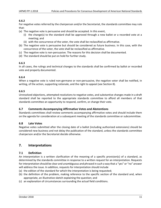# **6.6.2**

For negative votes referred by the chairperson and/or the Secretariat, the standards committee may rule that:

- (a) The negative vote is persuasive and should be accepted. In this event,
	- (i) the change(s) to the standard shall be approved through a new ballot or a recorded vote at a meeting; and
	- (ii) with the concurrence of the voter, the vote shall be reclassified as affirmative.
- (b) The negative vote is persuasive but should be considered as future business. In this case, with the concurrence of the voter, the vote shall be reclassified as affirmative.
- (c) The negative vote is non‐persuasive. The reasons for this decision shall be documented.
- (d) The standard should be put on hold for further study.

# **6.6.3**

In all cases, the rulings and technical changes to the standards shall be confirmed by ballot or recorded vote and properly documented.

# **6.6.4**

When a negative vote is ruled non-germane or non-persuasive, the negative voter shall be notified, in writing, of the action, supporting rationale, and the right to appeal (see Section 8).

# **6.6.5**

Unresolved objections, attempted resolutions to negative votes, and substantive changes made in a draft standard shall be reported to the appropriate standards committee to afford all members of that standards committee an opportunity to respond, confirm, or change their vote.

# **6.7 Comments Accompanying Affirmative Votes and Abstentions**

Standards committees shall review comments accompanying affirmative votes and should include them on the agenda for consideration at a subsequent meeting of the standards committee or subcommittee.

#### **6.8 Late Votes**

Negative votes submitted after the closing date of a ballot (including authorized extensions) should be considered new business and not delay the publication of the standard, unless the standards committee chairperson and/or the Secretariat decide otherwise.

# **7. Interpretations**

# **7.1 Definition**

An interpretation is a written clarification of the meaning of a specific provision(s) of a standard, as determined by the standards committee in response to a written request for an interpretation. Requests for interpretation should be clear and unambiguous and phrased in such a way that a "yes" or "no" answer will address the issue. In addition, requests for interpretation should include

- (a) the edition of the standard for which the interpretation is being requested;
- (b) the definition of the problem, making reference to the specific section of the standard and, when appropriate, an illustrative sketch explaining the question; and
- (c) an explanation of circumstances surrounding the actual field conditions.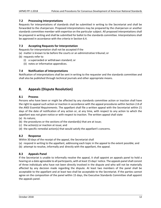# **7.2 Processing Interpretations**

Requests for interpretations of standards shall be submitted in writing to the Secretariat and shall be forwarded to the chairperson. Proposed interpretations may be prepared by the chairperson or another standards committee member with expertise on the particular subject. All proposed interpretations shall be prepared in writing and shall be submitted for ballot to the standards committee. Interpretations shall be approved in accordance with the criteria in Section 6.4.

# **7.3 Accepting Requests for Interpretation**

Requests for interpretation shall not be accepted if the

- (a) matter is known to be before the courts or an administrative tribunal; or
- (b) requests refer to
	- (i) a superseded or withdrawn standard; or
	- (ii) notes or informative appendices.

# **7.4 Notification of Interpretations**

Notification of interpretations shall be sent in writing to the requester and the standards committee and shall also be published through technical journals and other appropriate means.

# **8. Appeals (Dispute Resolution)**

# **8.1 Process**

Persons who have been or might be affected by any standards committee action or inaction shall have the right to appeal such action or inaction in accordance with the appeal procedures within Section 2.8 of the *ANSI Essential Requirements*. The appellant shall file a written appeal with the Secretariat within 21 days of the date of notification of any action or, at any time, with respect to any action to which the appellant was not given notice or with respect to inaction. The written appeal shall state

(a) its nature;

- (b) the procedures or the sections of the standard(s) that are at issue;
- (c) the action(s) or inaction at issue; and
- (d) the specific remedial action(s) that would satisfy the appellant's concerns.

# **8.2 Response**

Within 30 days of the receipt of the appeal, the Secretariat shall

- (a) respond in writing to the appellant, addressing each topic in the appeal to the extent possible; and
- (b) attempt to resolve, informally and directly with the appellant, the appeal.

# **8.3 Appeals Panel**

If the Secretariat is unable to informally resolve the appeal, it shall appoint an appeals panel to hold a hearing on a date agreeable to all participants, with at least 15 days' notice. The appeals panel shall consist of three individuals who have not been directly involved in the dispute and who will not be materially affected by any decision made regarding the dispute. At least two members of the panel shall be acceptable to the appellant and at least two shall be acceptable to the Secretariat. If the parties cannot agree on the composition of the panel within 15 days, the Executive Standards Committee shall appoint the appeals panel.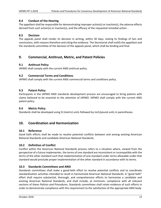# **8.4 Conduct of the Hearing**

The appellant shall be responsible for demonstrating improper action(s) or inaction(s), the adverse effects derived from such action(s) or inaction(s), and the efficacy of the requested remedial action. .

# **8.5 Decision**

The appeals panel shall render its decision in writing, within 30 days, stating its findings of fact and conclusions, with reasons therefore and citing the evidence. The Secretariat shall notify the appellant and the standards committee of the decision of the appeals panel, which shall be binding and final.

# **9. Commercial, Antitrust, Metric, and Patent Policies**

# **9.1 Antitrust Policy**

IAPMO shall comply with the current ANSI antitrust policy.

# **9.2 Commercial Terms and Conditions**

IAPMO shall comply with the current ANSI commercial terms and conditions policy.

# **9.3 Patent Policy**

Participants in the IAPMO ANSI standards development process are encouraged to bring patents with claims believed to be essential to the attention of IAPMO. IAPMO shall comply with the current ANSI patent policy.

#### **9.4 Metric Policy**

Standards shall be developed using SI (metric) units followed by inch/pound units in parentheses.

# **10. Coordination and Harmonization**

# **10.1 Reference**

Good faith efforts shall be made to resolve potential conflicts between and among existing American National Standards and candidate American National Standards.

# **10.2 Definition of Conflict**

Conflict within the American National Standards process refers to a situation where, viewed from the perspective of a future implementer, the terms of one standard are inconsistent or incompatible with the terms of the other standard such that implementation of one standard under terms allowable under that standard would preclude proper implementation of the other standard in accordance with its terms.

# **10.3 Standards Committees and ANSI**

Standards committees shall make a good‐faith effort to resolve potential conflicts and to coordinate standardization activities intended to result in harmonized American National Standards. A "good faith" effort shall require substantial, thorough, and comprehensive efforts to harmonize a candidate and existing American National Standards, and shall include, at minimum, compliance with all relevant sections of these *Policies and Procedures*. Standards committees shall retain evidence of such efforts in order to demonstrate compliance with this requirement to the satisfaction of the appropriate ANSI body.